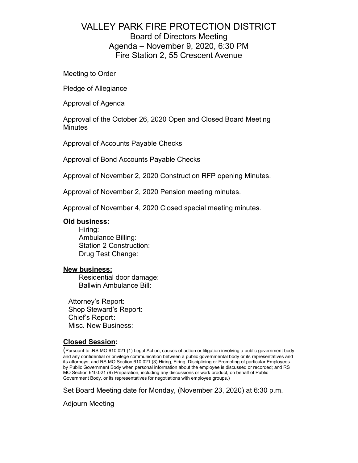## VALLEY PARK FIRE PROTECTION DISTRICT Board of Directors Meeting Agenda – November 9, 2020, 6:30 PM Fire Station 2, 55 Crescent Avenue

Meeting to Order

Pledge of Allegiance

Approval of Agenda

Approval of the October 26, 2020 Open and Closed Board Meeting **Minutes** 

Approval of Accounts Payable Checks

Approval of Bond Accounts Payable Checks

Approval of November 2, 2020 Construction RFP opening Minutes.

Approval of November 2, 2020 Pension meeting minutes.

Approval of November 4, 2020 Closed special meeting minutes.

#### **Old business:**

Hiring: Ambulance Billing: Station 2 Construction: Drug Test Change:

#### **New business:**

Residential door damage: Ballwin Ambulance Bill:

Attorney's Report: Shop Steward's Report: Chief's Report: Misc. New Business:

#### **Closed Session:**

(Pursuant to :RS MO 610.021 (1) Legal Action, causes of action or litigation involving a public government body and any confidential or privilege communication between a public governmental body or its representatives and its attorneys; and RS MO Section 610.021 (3) Hiring, Firing, Disciplining or Promoting of particular Employees by Public Government Body when personal information about the employee is discussed or recorded; and RS MO Section 610.021 (9) Preparation, including any discussions or work product, on behalf of Public Government Body, or its representatives for negotiations with employee groups.)

Set Board Meeting date for Monday, (November 23, 2020) at 6:30 p.m.

Adjourn Meeting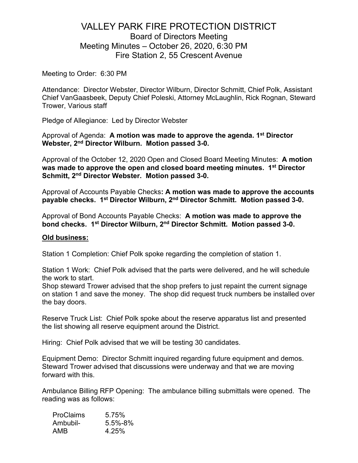## VALLEY PARK FIRE PROTECTION DISTRICT Board of Directors Meeting Meeting Minutes – October 26, 2020, 6:30 PM Fire Station 2, 55 Crescent Avenue

Meeting to Order: 6:30 PM

Attendance: Director Webster, Director Wilburn, Director Schmitt, Chief Polk, Assistant Chief VanGaasbeek, Deputy Chief Poleski, Attorney McLaughlin, Rick Rognan, Steward Trower, Various staff

Pledge of Allegiance: Led by Director Webster

Approval of Agenda: **A motion was made to approve the agenda. 1st Director Webster, 2nd Director Wilburn. Motion passed 3-0.**

Approval of the October 12, 2020 Open and Closed Board Meeting Minutes: **A motion was made to approve the open and closed board meeting minutes. 1st Director Schmitt, 2nd Director Webster. Motion passed 3-0.**

Approval of Accounts Payable Checks**: A motion was made to approve the accounts payable checks. 1st Director Wilburn, 2nd Director Schmitt. Motion passed 3-0.** 

Approval of Bond Accounts Payable Checks: **A motion was made to approve the bond checks. 1st Director Wilburn, 2nd Director Schmitt. Motion passed 3-0.**

#### **Old business:**

Station 1 Completion: Chief Polk spoke regarding the completion of station 1.

Station 1 Work: Chief Polk advised that the parts were delivered, and he will schedule the work to start.

Shop steward Trower advised that the shop prefers to just repaint the current signage on station 1 and save the money. The shop did request truck numbers be installed over the bay doors.

Reserve Truck List: Chief Polk spoke about the reserve apparatus list and presented the list showing all reserve equipment around the District.

Hiring: Chief Polk advised that we will be testing 30 candidates.

Equipment Demo: Director Schmitt inquired regarding future equipment and demos. Steward Trower advised that discussions were underway and that we are moving forward with this.

Ambulance Billing RFP Opening: The ambulance billing submittals were opened. The reading was as follows:

| <b>ProClaims</b> | 5.75%   |
|------------------|---------|
| Ambubil-         | 5.5%-8% |
| AMB              | 4.25%   |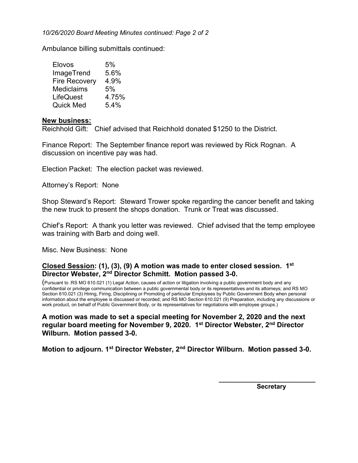*10/26/2020 Board Meeting Minutes continued: Page 2 of 2* 

Ambulance billing submittals continued:

| Elovos               | 5%    |
|----------------------|-------|
| ImageTrend           | 5.6%  |
| <b>Fire Recovery</b> | 4.9%  |
| <b>Mediclaims</b>    | 5%    |
| LifeQuest            | 4.75% |
| <b>Quick Med</b>     | 5.4%  |

#### **New business:**

Reichhold Gift: Chief advised that Reichhold donated \$1250 to the District.

Finance Report: The September finance report was reviewed by Rick Rognan. A discussion on incentive pay was had.

Election Packet: The election packet was reviewed.

Attorney's Report: None

Shop Steward's Report: Steward Trower spoke regarding the cancer benefit and taking the new truck to present the shops donation. Trunk or Treat was discussed.

Chief's Report: A thank you letter was reviewed. Chief advised that the temp employee was training with Barb and doing well.

Misc. New Business: None

#### **Closed Session: (1), (3), (9) A motion was made to enter closed session. 1st Director Webster, 2nd Director Schmitt. Motion passed 3-0.**

(Pursuant to :RS MO 610.021 (1) Legal Action, causes of action or litigation involving a public government body and any confidential or privilege communication between a public governmental body or its representatives and its attorneys; and RS MO Section 610.021 (3) Hiring, Firing, Disciplining or Promoting of particular Employees by Public Government Body when personal information about the employee is discussed or recorded; and RS MO Section 610.021 (9) Preparation, including any discussions or work product, on behalf of Public Government Body, or its representatives for negotiations with employee groups.)

**A motion was made to set a special meeting for November 2, 2020 and the next regular board meeting for November 9, 2020. 1st Director Webster, 2nd Director Wilburn. Motion passed 3-0.** 

**Motion to adjourn. 1st Director Webster, 2nd Director Wilburn. Motion passed 3-0.** 

 **Secretary**

**\_\_\_\_\_\_\_\_\_\_\_\_\_\_\_\_\_\_\_\_\_\_\_\_\_\_\_**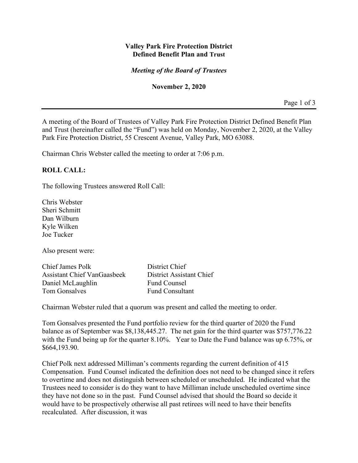#### **Valley Park Fire Protection District Defined Benefit Plan and Trust**

#### *Meeting of the Board of Trustees*

#### **November 2, 2020**

Page 1 of 3

A meeting of the Board of Trustees of Valley Park Fire Protection District Defined Benefit Plan and Trust (hereinafter called the "Fund") was held on Monday, November 2, 2020, at the Valley Park Fire Protection District, 55 Crescent Avenue, Valley Park, MO 63088.

Chairman Chris Webster called the meeting to order at 7:06 p.m.

#### **ROLL CALL:**

The following Trustees answered Roll Call:

Chris Webster Sheri Schmitt Dan Wilburn Kyle Wilken Joe Tucker

Also present were:

Chief James Polk District Chief Assistant Chief VanGaasbeek District Assistant Chief Daniel McLaughlin Fund Counsel Tom Gonsalves Fund Consultant

Chairman Webster ruled that a quorum was present and called the meeting to order.

Tom Gonsalves presented the Fund portfolio review for the third quarter of 2020 the Fund balance as of September was \$8,138,445.27. The net gain for the third quarter was \$757,776.22 with the Fund being up for the quarter 8.10%. Year to Date the Fund balance was up 6.75%, or \$664,193.90.

Chief Polk next addressed Milliman's comments regarding the current definition of 415 Compensation. Fund Counsel indicated the definition does not need to be changed since it refers to overtime and does not distinguish between scheduled or unscheduled. He indicated what the Trustees need to consider is do they want to have Milliman include unscheduled overtime since they have not done so in the past. Fund Counsel advised that should the Board so decide it would have to be prospectively otherwise all past retirees will need to have their benefits recalculated. After discussion, it was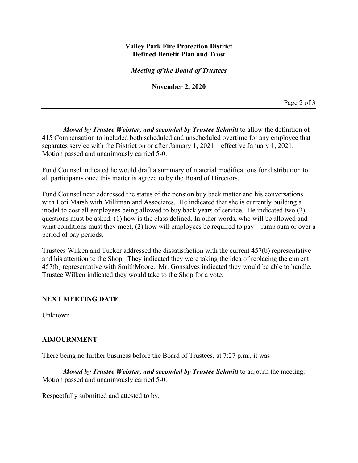#### **Valley Park Fire Protection District Defined Benefit Plan and Trust**

*Meeting of the Board of Trustees*

**November 2, 2020**

Page 2 of 3

*Moved by Trustee Webster, and seconded by Trustee Schmitt* to allow the definition of 415 Compensation to included both scheduled and unscheduled overtime for any employee that separates service with the District on or after January 1, 2021 – effective January 1, 2021. Motion passed and unanimously carried 5-0.

Fund Counsel indicated he would draft a summary of material modifications for distribution to all participants once this matter is agreed to by the Board of Directors.

Fund Counsel next addressed the status of the pension buy back matter and his conversations with Lori Marsh with Milliman and Associates. He indicated that she is currently building a model to cost all employees being allowed to buy back years of service. He indicated two (2) questions must be asked: (1) how is the class defined. In other words, who will be allowed and what conditions must they meet; (2) how will employees be required to pay – lump sum or over a period of pay periods.

Trustees Wilken and Tucker addressed the dissatisfaction with the current 457(b) representative and his attention to the Shop. They indicated they were taking the idea of replacing the current 457(b) representative with SmithMoore. Mr. Gonsalves indicated they would be able to handle. Trustee Wilken indicated they would take to the Shop for a vote.

#### **NEXT MEETING DATE**

Unknown

#### **ADJOURNMENT**

There being no further business before the Board of Trustees, at 7:27 p.m., it was

*Moved by Trustee Webster, and seconded by Trustee Schmitt* to adjourn the meeting. Motion passed and unanimously carried 5-0.

Respectfully submitted and attested to by,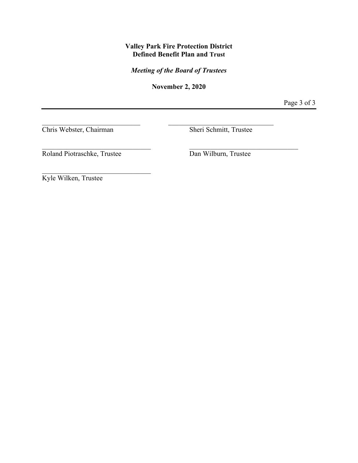#### **Valley Park Fire Protection District Defined Benefit Plan and Trust**

*Meeting of the Board of Trustees*

**November 2, 2020**

Page 3 of 3

Chris Webster, Chairman Sheri Schmitt, Trustee

Roland Piotraschke, Trustee Dan Wilburn, Trustee

 $\mathcal{L}_\mathcal{L}$ 

Kyle Wilken, Trustee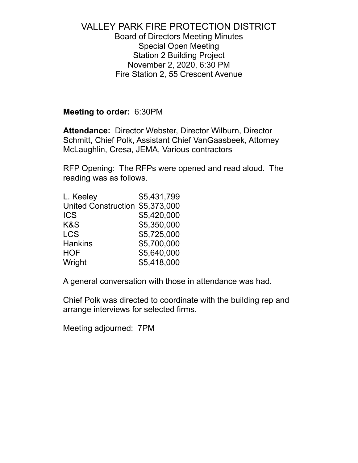## VALLEY PARK FIRE PROTECTION DISTRICT Board of Directors Meeting Minutes Special Open Meeting Station 2 Building Project November 2, 2020, 6:30 PM Fire Station 2, 55 Crescent Avenue

### **Meeting to order:** 6:30PM

**Attendance:** Director Webster, Director Wilburn, Director Schmitt, Chief Polk, Assistant Chief VanGaasbeek, Attorney McLaughlin, Cresa, JEMA, Various contractors

RFP Opening: The RFPs were opened and read aloud. The reading was as follows.

| L. Keeley                  | \$5,431,799 |
|----------------------------|-------------|
| <b>United Construction</b> | \$5,373,000 |
| <b>ICS</b>                 | \$5,420,000 |
| K&S                        | \$5,350,000 |
| LCS                        | \$5,725,000 |
| <b>Hankins</b>             | \$5,700,000 |
| <b>HOF</b>                 | \$5,640,000 |
| Wright                     | \$5,418,000 |

A general conversation with those in attendance was had.

Chief Polk was directed to coordinate with the building rep and arrange interviews for selected firms.

Meeting adjourned: 7PM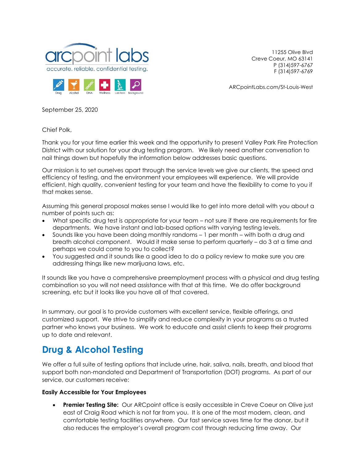



11255 Olive Blvd Creve Coeur, MO 63141 P (314)597-6767 F (314)597-6769

ARCpointLabs.com/St-Louis-West

September 25, 2020

Chief Polk,

Thank you for your time earlier this week and the opportunity to present Valley Park Fire Protection District with our solution for your drug testing program. We likely need another conversation to nail things down but hopefully the information below addresses basic questions.

Our mission is to set ourselves apart through the service levels we give our clients, the speed and efficiency of testing, and the environment your employees will experience. We will provide efficient, high quality, convenient testing for your team and have the flexibility to come to you if that makes sense.

Assuming this general proposal makes sense I would like to get into more detail with you about a number of points such as:

- What specific drug test is appropriate for your team not sure if there are requirements for fire departments. We have instant and lab-based options with varying testing levels.
- Sounds like you have been doing monthly randoms 1 per month with both a drug and breath alcohol component. Would it make sense to perform quarterly – do 3 at a time and perhaps we could come to you to collect?
- You suggested and it sounds like a good idea to do a policy review to make sure you are addressing things like new marijuana laws, etc.

It sounds like you have a comprehensive preemployment process with a physical and drug testing combination so you will not need assistance with that at this time. We do offer background screening, etc but it looks like you have all of that covered.

In summary, our goal is to provide customers with excellent service, flexible offerings, and customized support. We strive to simplify and reduce complexity in your programs as a trusted partner who knows your business. We work to educate and assist clients to keep their programs up to date and relevant.

# **Drug & Alcohol Testing**

We offer a full suite of testing options that include urine, hair, saliva, nails, breath, and blood that support both non-mandated and Department of Transportation (DOT) programs. As part of our service, our customers receive:

#### **Easily Accessible for Your Employees**

• **Premier Testing Site:** Our ARCpoint office is easily accessible in Creve Coeur on Olive just east of Craig Road which is not far from you. It is one of the most modern, clean, and comfortable testing facilities anywhere. Our fast service saves time for the donor, but it also reduces the employer's overall program cost through reducing time away. Our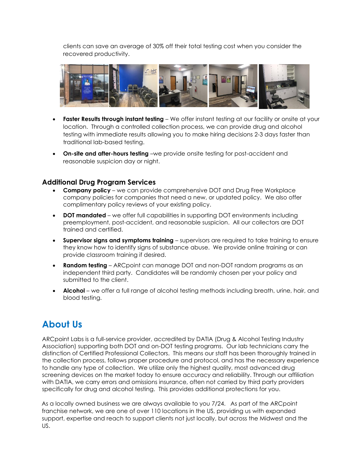clients can save an average of 30% off their total testing cost when you consider the recovered productivity.



- **Faster Results through instant testing** We offer instant testing at our facility or onsite at your location. Through a controlled collection process, we can provide drug and alcohol testing with immediate results allowing you to make hiring decisions 2-3 days faster than traditional lab-based testing.
- **On-site and after-hours testing** –we provide onsite testing for post-accident and reasonable suspicion day or night.

#### **Additional Drug Program Services**

- **Company policy** we can provide comprehensive DOT and Drug Free Workplace company policies for companies that need a new, or updated policy. We also offer complimentary policy reviews of your existing policy.
- **DOT mandated** we offer full capabilities in supporting DOT environments including preemployment, post-accident, and reasonable suspicion. All our collectors are DOT trained and certified.
- **Supervisor signs and symptoms training** supervisors are required to take training to ensure they know how to identify signs of substance abuse. We provide online training or can provide classroom training if desired.
- **Random testing** ARCpoint can manage DOT and non-DOT random programs as an independent third party. Candidates will be randomly chosen per your policy and submitted to the client.
- **Alcohol** we offer a full range of alcohol testing methods including breath, urine, hair, and blood testing.

# **About Us**

ARCpoint Labs is a full-service provider, accredited by DATIA (Drug & Alcohol Testing Industry Association) supporting both DOT and on-DOT testing programs. Our lab technicians carry the distinction of Certified Professional Collectors. This means our staff has been thoroughly trained in the collection process, follows proper procedure and protocol, and has the necessary experience to handle any type of collection. We utilize only the highest quality, most advanced drug screening devices on the market today to ensure accuracy and reliability. Through our affiliation with DATIA, we carry errors and omissions insurance, often not carried by third party providers specifically for drug and alcohol testing. This provides additional protections for you.

As a locally owned business we are always available to you 7/24. As part of the ARCpoint franchise network, we are one of over 110 locations in the US, providing us with expanded support, expertise and reach to support clients not just locally, but across the Midwest and the US.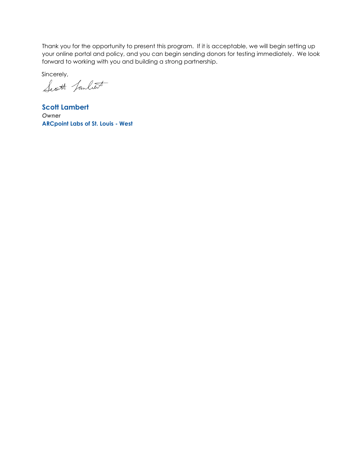Thank you for the opportunity to present this program. If it is acceptable, we will begin setting up your online portal and policy, and you can begin sending donors for testing immediately. We look forward to working with you and building a strong partnership.

Sincerely,

Scott fanlet

**Scott Lambert** *Owner*  **ARCpoint Labs of St. Louis - West**